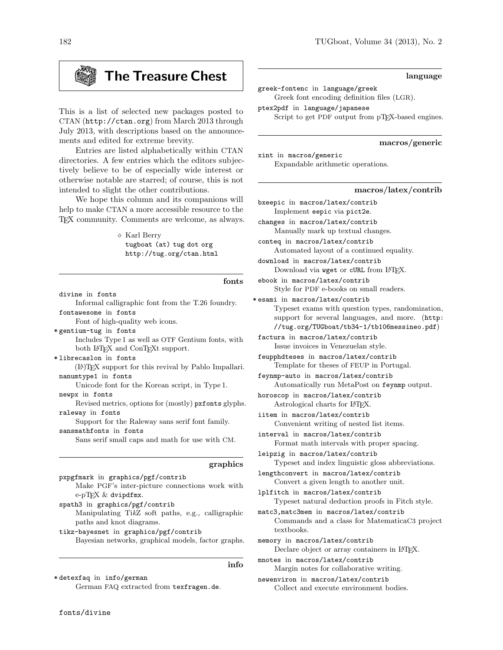# The Treasure Chest

This is a list of selected new packages posted to CTAN (http://ctan.org) from March 2013 through July 2013, with descriptions based on the announcements and edited for extreme brevity.

Entries are listed alphabetically within CTAN directories. A few entries which the editors subjectively believe to be of especially wide interest or otherwise notable are starred; of course, this is not intended to slight the other contributions.

We hope this column and its companions will help to make CTAN a more accessible resource to the TEX community. Comments are welcome, as always.

> $\diamond$  Karl Berry tugboat (at) tug dot org http://tug.org/ctan.html

> > fonts

divine in fonts

Informal calligraphic font from the T.26 foundry. fontawesome in fonts

Font of high-quality web icons.

\* gentium-tug in fonts Includes Type 1 as well as OTF Gentium fonts, with both L<sup>AT</sup>EX and ConTEXt support.

\* librecaslon in fonts

(LA)TEX support for this revival by Pablo Impallari. nanumtype1 in fonts

Unicode font for the Korean script, in Type 1.

newpx in fonts

Revised metrics, options for (mostly) pxfonts glyphs. raleway in fonts

Support for the Raleway sans serif font family. sansmathfonts in fonts

Sans serif small caps and math for use with CM.

#### graphics

pxpgfmark in graphics/pgf/contrib Make PGF's inter-picture connections work with e-pTEX & dvipdfmx.

spath3 in graphics/pgf/contrib

Manipulating TikZ soft paths, e.g., calligraphic paths and knot diagrams.

tikz-bayesnet in graphics/pgf/contrib Bayesian networks, graphical models, factor graphs.

info

\* detexfaq in info/german

German FAQ extracted from texfragen.de.

## language

greek-fontenc in language/greek Greek font encoding definition files (LGR).

ptex2pdf in language/japanese Script to get PDF output from pTEX-based engines.

## macros/generic

xint in macros/generic Expandable arithmetic operations.

## macros/latex/contrib

bxeepic in macros/latex/contrib Implement eepic via pict2e.

changes in macros/latex/contrib Manually mark up textual changes.

conteq in macros/latex/contrib Automated layout of a continued equality.

download in macros/latex/contrib Download via wget or cURL from IATEX.

ebook in macros/latex/contrib Style for PDF e-books on small readers.

\* esami in macros/latex/contrib Typeset exams with question types, randomization, support for several languages, and more. (http: //tug.org/TUGboat/tb34-1/tb106messineo.pdf)

factura in macros/latex/contrib Issue invoices in Venezuelan style.

feupphdteses in macros/latex/contrib Template for theses of FEUP in Portugal.

feynmp-auto in macros/latex/contrib Automatically run MetaPost on feynmp output.

horoscop in macros/latex/contrib Astrological charts for LATEX.

iitem in macros/latex/contrib Convenient writing of nested list items.

interval in macros/latex/contrib Format math intervals with proper spacing.

leipzig in macros/latex/contrib Typeset and index linguistic gloss abbreviations.

lengthconvert in macros/latex/contrib Convert a given length to another unit.

lplfitch in macros/latex/contrib Typeset natural deduction proofs in Fitch style.

matc3,matc3mem in macros/latex/contrib Commands and a class for MatematicaC3 project textbooks.

memory in macros/latex/contrib Declare object or array containers in L<sup>AT</sup>FX.

mnotes in macros/latex/contrib Margin notes for collaborative writing.

newenviron in macros/latex/contrib Collect and execute environment bodies.